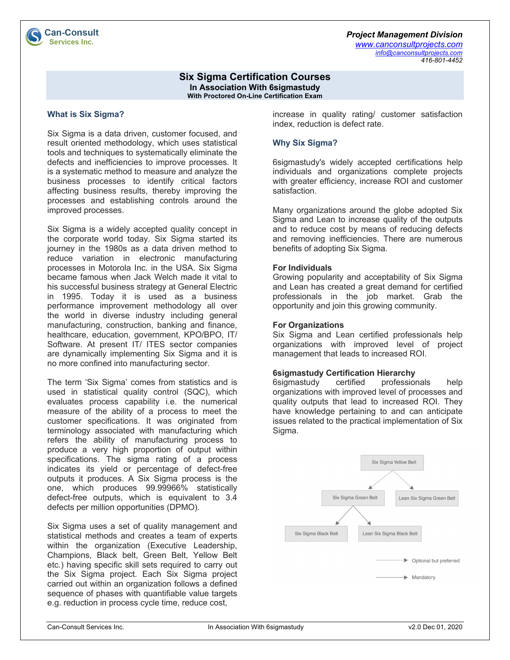# *Project Management Division*

*www.canconsultprojects.com info@canconsultprojects.com 416-801-4452*

### **Six Sigma Certification Courses In Association With 6sigmastudy With Proctored On-Line Certification Exam**

# **What is Six Sigma?**

Six Sigma is a data driven, customer focused, and result oriented methodology, which uses statistical tools and techniques to systematically eliminate the defects and inefficiencies to improve processes. It is a systematic method to measure and analyze the business processes to identify critical factors affecting business results, thereby improving the processes and establishing controls around the improved processes.

Six Sigma is a widely accepted quality concept in the corporate world today. Six Sigma started its journey in the 1980s as a data driven method to reduce variation in electronic manufacturing processes in Motorola Inc. in the USA. Six Sigma became famous when Jack Welch made it vital to his successful business strategy at General Electric in 1995. Today it is used as a business performance improvement methodology all over the world in diverse industry including general manufacturing, construction, banking and finance, healthcare, education, government, KPO/BPO, IT/ Software. At present IT/ ITES sector companies are dynamically implementing Six Sigma and it is no more confined into manufacturing sector.

The term 'Six Sigma' comes from statistics and is used in statistical quality control (SQC), which evaluates process capability i.e. the numerical measure of the ability of a process to meet the customer specifications. It was originated from terminology associated with manufacturing which refers the ability of manufacturing process to produce a very high proportion of output within specifications. The sigma rating of a process indicates its yield or percentage of defect-free outputs it produces. A Six Sigma process is the one, which produces 99.99966% statistically defect-free outputs, which is equivalent to 3.4 defects per million opportunities (DPMO).

Six Sigma uses a set of quality management and statistical methods and creates a team of experts within the organization (Executive Leadership, Champions, Black belt, Green Belt, Yellow Belt etc.) having specific skill sets required to carry out the Six Sigma project. Each Six Sigma project carried out within an organization follows a defined sequence of phases with quantifiable value targets e.g. reduction in process cycle time, reduce cost,

increase in quality rating/ customer satisfaction index, reduction is defect rate.

# **Why Six Sigma?**

6sigmastudy's widely accepted certifications help individuals and organizations complete projects with greater efficiency, increase ROI and customer satisfaction.

Many organizations around the globe adopted Six Sigma and Lean to increase quality of the outputs and to reduce cost by means of reducing defects and removing inefficiencies. There are numerous benefits of adopting Six Sigma.

# **For Individuals**

Growing popularity and acceptability of Six Sigma and Lean has created a great demand for certified professionals in the job market. Grab the opportunity and join this growing community.

# **For Organizations**

Six Sigma and Lean certified professionals help organizations with improved level of project management that leads to increased ROI.

## **6sigmastudy Certification Hierarchy**

6sigmastudy certified professionals help organizations with improved level of processes and quality outputs that lead to increased ROI. They have knowledge pertaining to and can anticipate issues related to the practical implementation of Six Sigma.

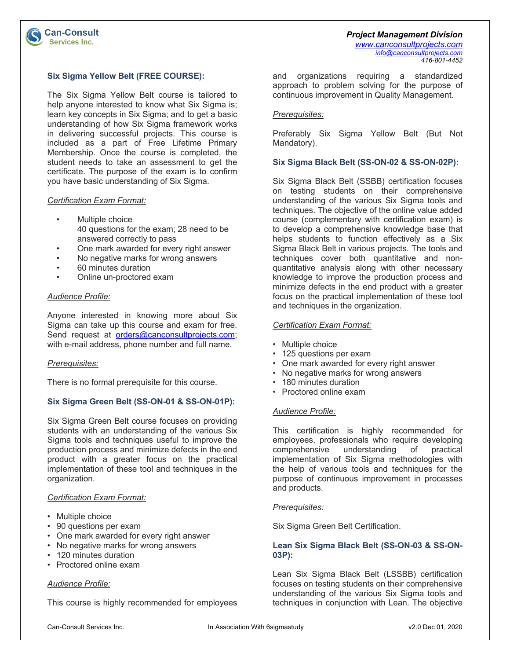### **Six Sigma Yellow Belt (FREE COURSE):**

The Six Sigma Yellow Belt course is tailored to help anyone interested to know what Six Sigma is; learn key concepts in Six Sigma; and to get a basic understanding of how Six Sigma framework works in delivering successful projects. This course is included as a part of Free Lifetime Primary Membership. Once the course is completed, the student needs to take an assessment to get the certificate. The purpose of the exam is to confirm you have basic understanding of Six Sigma.

#### *Certification Exam Format:*

**Can-Consult Services Inc.** 

- Multiple choice 40 questions for the exam; 28 need to be answered correctly to pass
- One mark awarded for every right answer
- No negative marks for wrong answers
- 60 minutes duration
- Online un-proctored exam

### *Audience Profile:*

Anyone interested in knowing more about Six Sigma can take up this course and exam for free. Send request at orders@canconsultprojects.com; with e-mail address, phone number and full name.

#### *Prerequisites:*

There is no formal prerequisite for this course.

## **Six Sigma Green Belt (SS-ON-01 & SS-ON-01P):**

Six Sigma Green Belt course focuses on providing students with an understanding of the various Six Sigma tools and techniques useful to improve the production process and minimize defects in the end product with a greater focus on the practical implementation of these tool and techniques in the organization.

#### *Certification Exam Format:*

- Multiple choice
- 90 questions per exam
- One mark awarded for every right answer
- No negative marks for wrong answers
- 120 minutes duration
- Proctored online exam

### *Audience Profile:*

This course is highly recommended for employees

and organizations requiring a standardized approach to problem solving for the purpose of continuous improvement in Quality Management.

# *Prerequisites:*

Preferably Six Sigma Yellow Belt (But Not Mandatory).

#### **Six Sigma Black Belt (SS-ON-02 & SS-ON-02P):**

Six Sigma Black Belt (SSBB) certification focuses on testing students on their comprehensive understanding of the various Six Sigma tools and techniques. The objective of the online value added course (complementary with certification exam) is to develop a comprehensive knowledge base that helps students to function effectively as a Six Sigma Black Belt in various projects. The tools and techniques cover both quantitative and nonquantitative analysis along with other necessary knowledge to improve the production process and minimize defects in the end product with a greater focus on the practical implementation of these tool and techniques in the organization.

# *Certification Exam Format:*

- Multiple choice
- 125 questions per exam
- One mark awarded for every right answer
- No negative marks for wrong answers
- 180 minutes duration
- Proctored online exam

#### *Audience Profile:*

This certification is highly recommended for employees, professionals who require developing comprehensive understanding of practical implementation of Six Sigma methodologies with the help of various tools and techniques for the purpose of continuous improvement in processes and products.

#### *Prerequisites:*

Six Sigma Green Belt Certification.

### **Lean Six Sigma Black Belt (SS-ON-03 & SS-ON-03P):**

Lean Six Sigma Black Belt (LSSBB) certification focuses on testing students on their comprehensive understanding of the various Six Sigma tools and techniques in conjunction with Lean. The objective